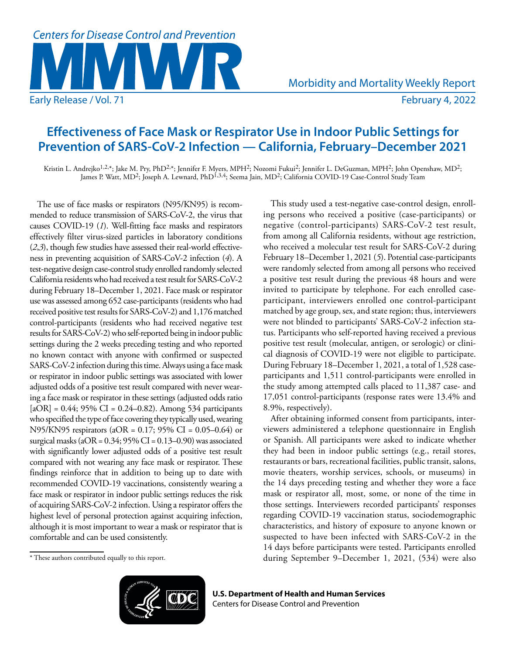

# **Effectiveness of Face Mask or Respirator Use in Indoor Public Settings for Prevention of SARS-CoV-2 Infection — California, February–December 2021**

Kristin L. Andrejko<sup>1,2,</sup>\*; Jake M. Pry, PhD<sup>2,</sup>\*; Jennifer F. Myers, MPH<sup>2</sup>; Nozomi Fukui<sup>2</sup>; Jennifer L. DeGuzman, MPH<sup>2</sup>; John Openshaw, MD<sup>2</sup>; James P. Watt, MD<sup>2</sup>; Joseph A. Lewnard, PhD<sup>1,3,4</sup>; Seema Jain, MD<sup>2</sup>; California COVID-19 Case-Control Study Team

The use of face masks or respirators (N95/KN95) is recommended to reduce transmission of SARS-CoV-2, the virus that causes COVID-19 (*1*). Well-fitting face masks and respirators effectively filter virus-sized particles in laboratory conditions (*2*,*3*), though few studies have assessed their real-world effectiveness in preventing acquisition of SARS-CoV-2 infection (*4*). A test-negative design case-control study enrolled randomly selected California residents who had received a test result for SARS-CoV-2 during February 18–December 1, 2021. Face mask or respirator use was assessed among 652 case-participants (residents who had received positive test results for SARS-CoV-2) and 1,176 matched control-participants (residents who had received negative test results for SARS-CoV-2) who self-reported being in indoor public settings during the 2 weeks preceding testing and who reported no known contact with anyone with confirmed or suspected SARS-CoV-2 infection during this time. Always using a face mask or respirator in indoor public settings was associated with lower adjusted odds of a positive test result compared with never wearing a face mask or respirator in these settings (adjusted odds ratio  $[aOR] = 0.44$ ; 95% CI = 0.24–0.82). Among 534 participants who specified the type of face covering they typically used, wearing N95/KN95 respirators (aOR = 0.17; 95% CI = 0.05–0.64) or surgical masks (aOR =  $0.34$ ;  $95\%$  CI =  $0.13-0.90$ ) was associated with significantly lower adjusted odds of a positive test result compared with not wearing any face mask or respirator. These findings reinforce that in addition to being up to date with recommended COVID-19 vaccinations, consistently wearing a face mask or respirator in indoor public settings reduces the risk of acquiring SARS-CoV-2 infection. Using a respirator offers the highest level of personal protection against acquiring infection, although it is most important to wear a mask or respirator that is comfortable and can be used consistently.

This study used a test-negative case-control design, enrolling persons who received a positive (case-participants) or negative (control-participants) SARS-CoV-2 test result, from among all California residents, without age restriction, who received a molecular test result for SARS-CoV-2 during February 18–December 1, 2021 (*5*). Potential case-participants were randomly selected from among all persons who received a positive test result during the previous 48 hours and were invited to participate by telephone. For each enrolled caseparticipant, interviewers enrolled one control-participant matched by age group, sex, and state region; thus, interviewers were not blinded to participants' SARS-CoV-2 infection status. Participants who self-reported having received a previous positive test result (molecular, antigen, or serologic) or clinical diagnosis of COVID-19 were not eligible to participate. During February 18–December 1, 2021, a total of 1,528 caseparticipants and 1,511 control-participants were enrolled in the study among attempted calls placed to 11,387 case- and 17,051 control-participants (response rates were 13.4% and 8.9%, respectively).

After obtaining informed consent from participants, interviewers administered a telephone questionnaire in English or Spanish. All participants were asked to indicate whether they had been in indoor public settings (e.g., retail stores, restaurants or bars, recreational facilities, public transit, salons, movie theaters, worship services, schools, or museums) in the 14 days preceding testing and whether they wore a face mask or respirator all, most, some, or none of the time in those settings. Interviewers recorded participants' responses regarding COVID-19 vaccination status, sociodemographic characteristics, and history of exposure to anyone known or suspected to have been infected with SARS-CoV-2 in the 14 days before participants were tested. Participants enrolled during September 9–December 1, 2021, (534) were also

<sup>\*</sup> These authors contributed equally to this report.



**U.S. Department of Health and Human Services** Centers for Disease Control and Prevention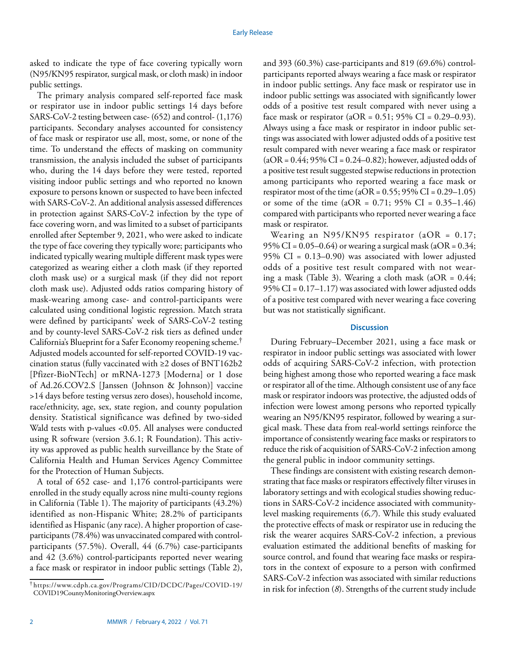asked to indicate the type of face covering typically worn (N95/KN95 respirator, surgical mask, or cloth mask) in indoor public settings.

The primary analysis compared self-reported face mask or respirator use in indoor public settings 14 days before SARS-CoV-2 testing between case- (652) and control- (1,176) participants. Secondary analyses accounted for consistency of face mask or respirator use all, most, some, or none of the time. To understand the effects of masking on community transmission, the analysis included the subset of participants who, during the 14 days before they were tested, reported visiting indoor public settings and who reported no known exposure to persons known or suspected to have been infected with SARS-CoV-2. An additional analysis assessed differences in protection against SARS-CoV-2 infection by the type of face covering worn, and was limited to a subset of participants enrolled after September 9, 2021, who were asked to indicate the type of face covering they typically wore; participants who indicated typically wearing multiple different mask types were categorized as wearing either a cloth mask (if they reported cloth mask use) or a surgical mask (if they did not report cloth mask use). Adjusted odds ratios comparing history of mask-wearing among case- and control-participants were calculated using conditional logistic regression. Match strata were defined by participants' week of SARS-CoV-2 testing and by county-level SARS-CoV-2 risk tiers as defined under California's Blueprint for a Safer Economy reopening scheme.† Adjusted models accounted for self-reported COVID-19 vaccination status (fully vaccinated with ≥2 doses of BNT162b2 [Pfizer-BioNTech] or mRNA-1273 [Moderna] or 1 dose of Ad.26.COV2.S [Janssen (Johnson & Johnson)] vaccine >14 days before testing versus zero doses), household income, race/ethnicity, age, sex, state region, and county population density. Statistical significance was defined by two-sided Wald tests with p-values <0.05. All analyses were conducted using R software (version 3.6.1; R Foundation). This activity was approved as public health surveillance by the State of California Health and Human Services Agency Committee for the Protection of Human Subjects.

A total of 652 case- and 1,176 control-participants were enrolled in the study equally across nine multi-county regions in California (Table 1). The majority of participants (43.2%) identified as non-Hispanic White; 28.2% of participants identified as Hispanic (any race). A higher proportion of caseparticipants (78.4%) was unvaccinated compared with controlparticipants (57.5%). Overall, 44 (6.7%) case-participants and 42 (3.6%) control-participants reported never wearing a face mask or respirator in indoor public settings (Table 2),

and 393 (60.3%) case-participants and 819 (69.6%) controlparticipants reported always wearing a face mask or respirator in indoor public settings. Any face mask or respirator use in indoor public settings was associated with significantly lower odds of a positive test result compared with never using a face mask or respirator ( $aOR = 0.51$ ; 95% CI = 0.29–0.93). Always using a face mask or respirator in indoor public settings was associated with lower adjusted odds of a positive test result compared with never wearing a face mask or respirator  $(aOR = 0.44; 95\% CI = 0.24–0.82)$ ; however, adjusted odds of a positive test result suggested stepwise reductions in protection among participants who reported wearing a face mask or respirator most of the time ( $aOR = 0.55$ ;  $95\% CI = 0.29 - 1.05$ ) or some of the time  $(aOR = 0.71; 95\% \text{ CI} = 0.35-1.46)$ compared with participants who reported never wearing a face mask or respirator.

Wearing an  $N95/KN95$  respirator (aOR = 0.17; 95% CI =  $0.05-0.64$ ) or wearing a surgical mask (aOR =  $0.34$ ; 95% CI = 0.13–0.90) was associated with lower adjusted odds of a positive test result compared with not wearing a mask (Table 3). Wearing a cloth mask ( $aOR = 0.44$ ; 95% CI =  $0.17-1.17$ ) was associated with lower adjusted odds of a positive test compared with never wearing a face covering but was not statistically significant.

## **Discussion**

During February–December 2021, using a face mask or respirator in indoor public settings was associated with lower odds of acquiring SARS-CoV-2 infection, with protection being highest among those who reported wearing a face mask or respirator all of the time. Although consistent use of any face mask or respirator indoors was protective, the adjusted odds of infection were lowest among persons who reported typically wearing an N95/KN95 respirator, followed by wearing a surgical mask. These data from real-world settings reinforce the importance of consistently wearing face masks or respirators to reduce the risk of acquisition of SARS-CoV-2 infection among the general public in indoor community settings.

These findings are consistent with existing research demonstrating that face masks or respirators effectively filter viruses in laboratory settings and with ecological studies showing reductions in SARS-CoV-2 incidence associated with communitylevel masking requirements (*6*,*7*). While this study evaluated the protective effects of mask or respirator use in reducing the risk the wearer acquires SARS-CoV-2 infection, a previous evaluation estimated the additional benefits of masking for source control, and found that wearing face masks or respirators in the context of exposure to a person with confirmed SARS-CoV-2 infection was associated with similar reductions in risk for infection (*8*). Strengths of the current study include

<sup>†</sup> [https://www.cdph.ca.gov/Programs/CID/DCDC/Pages/COVID-19/](https://www.cdph.ca.gov/Programs/CID/DCDC/Pages/COVID-19/COVID19CountyMonitoringOverview.aspx) [COVID19CountyMonitoringOverview.aspx](https://www.cdph.ca.gov/Programs/CID/DCDC/Pages/COVID-19/COVID19CountyMonitoringOverview.aspx)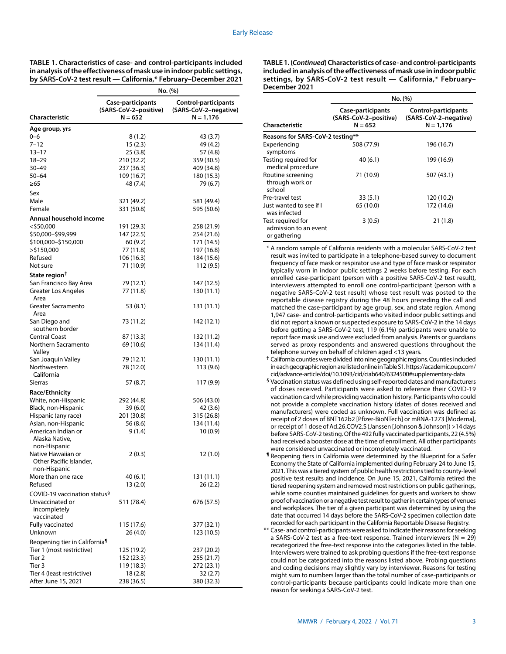**TABLE 1. Characteristics of case- and control-participants included in analysis of the effectiveness of mask use in indoor public settings, by SARS-CoV-2 test result — California,\* February–December 2021**

|                                                      | No. (%)                                                 |                                                              |  |  |
|------------------------------------------------------|---------------------------------------------------------|--------------------------------------------------------------|--|--|
| Characteristic                                       | Case-participants<br>(SARS-CoV-2-positive)<br>$N = 652$ | Control-participants<br>(SARS-CoV-2-negative)<br>$N = 1,176$ |  |  |
|                                                      |                                                         |                                                              |  |  |
| Age group, yrs                                       |                                                         |                                                              |  |  |
| $0 - 6$<br>$7 - 12$                                  | 8(1.2)                                                  | 43 (3.7)                                                     |  |  |
| $13 - 17$                                            | 15(2.3)<br>25 (3.8)                                     | 49 (4.2)<br>57 (4.8)                                         |  |  |
| 18-29                                                | 210 (32.2)                                              | 359 (30.5)                                                   |  |  |
| 30–49                                                | 237 (36.3)                                              | 409 (34.8)                                                   |  |  |
| 50–64                                                | 109 (16.7)                                              | 180 (15.3)                                                   |  |  |
| $\geq 65$                                            | 48 (7.4)                                                | 79 (6.7)                                                     |  |  |
| Sex                                                  |                                                         |                                                              |  |  |
| Male                                                 | 321 (49.2)                                              | 581 (49.4)                                                   |  |  |
| Female                                               | 331 (50.8)                                              | 595 (50.6)                                                   |  |  |
| Annual household income                              |                                                         |                                                              |  |  |
| $<$ \$50,000                                         | 191 (29.3)                                              | 258 (21.9)                                                   |  |  |
| \$50,000-\$99,999                                    | 147 (22.5)                                              | 254 (21.6)                                                   |  |  |
| \$100,000-\$150,000                                  | 60(9.2)                                                 | 171 (14.5)                                                   |  |  |
| >\$150,000                                           | 77 (11.8)                                               | 197 (16.8)                                                   |  |  |
| Refused                                              | 106 (16.3)                                              | 184 (15.6)                                                   |  |  |
| Not sure                                             | 71 (10.9)                                               | 112 (9.5)                                                    |  |  |
| State region <sup>†</sup>                            |                                                         |                                                              |  |  |
| San Francisco Bay Area                               | 79 (12.1)                                               | 147 (12.5)                                                   |  |  |
| Greater Los Angeles<br>Area                          | 77 (11.8)                                               | 130 (11.1)                                                   |  |  |
| Greater Sacramento<br>Area                           | 53 (8.1)                                                | 131 (11.1)                                                   |  |  |
| San Diego and<br>southern border                     | 73 (11.2)                                               | 142 (12.1)                                                   |  |  |
| <b>Central Coast</b>                                 | 87 (13.3)                                               | 132 (11.2)                                                   |  |  |
| Northern Sacramento<br>Valley                        | 69 (10.6)                                               | 134 (11.4)                                                   |  |  |
| San Joaquin Valley                                   | 79 (12.1)                                               | 130 (11.1)                                                   |  |  |
| Northwestern<br>California                           | 78 (12.0)                                               | 113 (9.6)                                                    |  |  |
| <b>Sierras</b>                                       | 57 (8.7)                                                | 117 (9.9)                                                    |  |  |
| <b>Race/Ethnicity</b>                                |                                                         |                                                              |  |  |
| White, non-Hispanic                                  | 292 (44.8)                                              | 506 (43.0)                                                   |  |  |
| Black, non-Hispanic                                  | 39 (6.0)                                                | 42 (3.6)                                                     |  |  |
| Hispanic (any race)                                  | 201 (30.8)                                              | 315 (26.8)                                                   |  |  |
| Asian, non-Hispanic                                  | 56 (8.6)                                                | 134 (11.4)                                                   |  |  |
| American Indian or<br>Alaska Native,<br>non-Hispanic | 9(1.4)                                                  | 10(0.9)                                                      |  |  |
| Native Hawaiian or                                   | 2(0.3)                                                  | 12 (1.0)                                                     |  |  |
| Other Pacific Islander,<br>non-Hispanic              |                                                         |                                                              |  |  |
| More than one race                                   | 40 (6.1)                                                | 131 (11.1)                                                   |  |  |
| Refused                                              | 13 (2.0)                                                | 26 (2.2)                                                     |  |  |
| COVID-19 vaccination status <sup>§</sup>             |                                                         |                                                              |  |  |
| Unvaccinated or<br>incompletely<br>vaccinated        | 511 (78.4)                                              | 676 (57.5)                                                   |  |  |
| Fully vaccinated                                     | 115 (17.6)                                              | 377 (32.1)                                                   |  |  |
| Unknown                                              | 26 (4.0)                                                | 123 (10.5)                                                   |  |  |
| Reopening tier in California <sup>1</sup>            |                                                         |                                                              |  |  |
| Tier 1 (most restrictive)                            | 125 (19.2)                                              | 237 (20.2)                                                   |  |  |
| Tier 2                                               | 152 (23.3)                                              | 255 (21.7)                                                   |  |  |
| Tier 3                                               | 119 (18.3)                                              | 272 (23.1)                                                   |  |  |
| Tier 4 (least restrictive)                           | 18 (2.8)                                                | 32(2.7)                                                      |  |  |
| After June 15, 2021                                  | 238 (36.5)                                              | 380 (32.3)                                                   |  |  |

**TABLE 1. (***Continued***) Characteristics of case- and control-participants included in analysis of the effectiveness of mask use in indoor public settings, by SARS-CoV-2 test result — California,\* February– December 2021**

|                                                            | No. (%)                                                 |                                                              |  |  |  |
|------------------------------------------------------------|---------------------------------------------------------|--------------------------------------------------------------|--|--|--|
| Characteristic                                             | Case-participants<br>(SARS-CoV-2-positive)<br>$N = 652$ | Control-participants<br>(SARS-CoV-2-negative)<br>$N = 1,176$ |  |  |  |
| Reasons for SARS-CoV-2 testing**                           |                                                         |                                                              |  |  |  |
| Experiencing<br>symptoms                                   | 508 (77.9)                                              | 196 (16.7)                                                   |  |  |  |
| Testing required for<br>medical procedure                  | 40(6.1)                                                 | 199 (16.9)                                                   |  |  |  |
| Routine screening<br>through work or<br>school             | 71 (10.9)                                               | 507 (43.1)                                                   |  |  |  |
| Pre-travel test                                            | 33(5.1)                                                 | 120 (10.2)                                                   |  |  |  |
| Just wanted to see if I<br>was infected                    | 65 (10.0)                                               | 172 (14.6)                                                   |  |  |  |
| Test required for<br>admission to an event<br>or gathering | 3(0.5)                                                  | 21 (1.8)                                                     |  |  |  |

\* A random sample of California residents with a molecular SARS-CoV-2 test result was invited to participate in a telephone-based survey to document frequency of face mask or respirator use and type of face mask or respirator typically worn in indoor public settings 2 weeks before testing. For each enrolled case-participant (person with a positive SARS-CoV-2 test result), interviewers attempted to enroll one control-participant (person with a negative SARS-CoV-2 test result) whose test result was posted to the reportable disease registry during the 48 hours preceding the call and matched the case-participant by age group, sex, and state region. Among 1,947 case- and control-participants who visited indoor public settings and did not report a known or suspected exposure to SARS-CoV-2 in the 14 days before getting a SARS-CoV-2 test, 119 (6.1%) participants were unable to report face mask use and were excluded from analysis. Parents or guardians served as proxy respondents and answered questions throughout the telephone survey on behalf of children aged <13 years.

**†** California counties were divided into nine geographic regions. Counties included in each geographic region are listed online in Table S1. [https://academic.oup.com/](https://academic.oup.com/cid/advance-article/doi/10.1093/cid/ciab640/6324500#supplementary-data) [cid/advance-article/doi/10.1093/cid/ciab640/6324500#supplementary-data](https://academic.oup.com/cid/advance-article/doi/10.1093/cid/ciab640/6324500#supplementary-data)

- § Vaccination status was defined using self-reported dates and manufacturers of doses received. Participants were asked to reference their COVID-19 vaccination card while providing vaccination history. Participants who could not provide a complete vaccination history (dates of doses received and manufacturers) were coded as unknown. Full vaccination was defined as receipt of 2 doses of BNT162b2 [Pfizer-BioNTech] or mRNA-1273 [Moderna], or receipt of 1 dose of Ad.26.COV2.S (Janssen [Johnson & Johnson]) >14 days before SARS-CoV-2 testing. Of the 492 fully vaccinated participants, 22 (4.5%) had received a booster dose at the time of enrollment. All other participants were considered unvaccinated or incompletely vaccinated.
- ¶ Reopening tiers in California were determined by the Blueprint for a Safer Economy the State of California implemented during February 24 to June 15, 2021. This was a tiered system of public health restrictions tied to county-level positive test results and incidence. On June 15, 2021, California retired the tiered reopening system and removed most restrictions on public gatherings, while some counties maintained guidelines for guests and workers to show proof of vaccination or a negative test result to gather in certain types of venues and workplaces. The tier of a given participant was determined by using the date that occurred 14 days before the SARS-CoV-2 specimen collection date recorded for each participant in the California Reportable Disease Registry.

\*\* Case- and control-participants were asked to indicate their reasons for seeking a SARS-CoV-2 test as a free-text response. Trained interviewers ( $N = 29$ ) recategorized the free-text response into the categories listed in the table. Interviewers were trained to ask probing questions if the free-text response could not be categorized into the reasons listed above. Probing questions and coding decisions may slightly vary by interviewer. Reasons for testing might sum to numbers larger than the total number of case-participants or control-participants because participants could indicate more than one reason for seeking a SARS-CoV-2 test.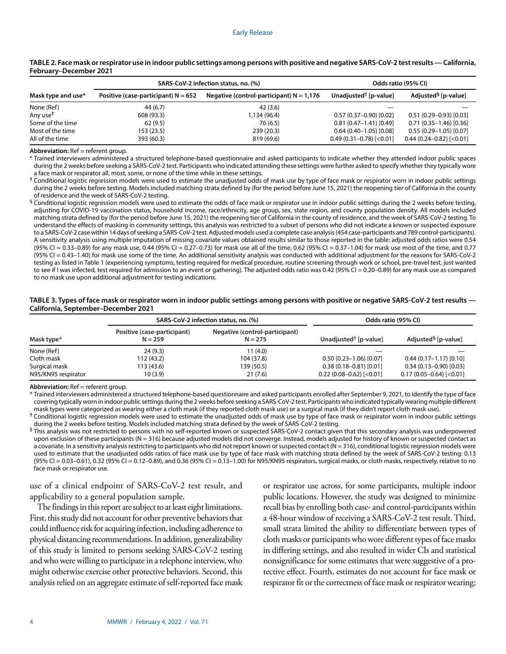|                      | SARS-CoV-2 infection status, no. (%)  |                                            | Odds ratio (95% CI)            |                                 |
|----------------------|---------------------------------------|--------------------------------------------|--------------------------------|---------------------------------|
| Mask type and use*   | Positive (case-participant) $N = 652$ | Negative (control-participant) $N = 1,176$ | Unadjusted $\dagger$ [p-value] | Adjusted <sup>9</sup> [p-value] |
| None (Ref)           | 44 (6.7)                              | 42(3.6)                                    |                                |                                 |
| Any use <sup>t</sup> | 608(93.3)                             | 1,134 (96.4)                               | $0.57(0.37-0.90)[0.02]$        | $0.51(0.29 - 0.93)[0.03]$       |
| Some of the time     | 62(9.5)                               | 76 (6.5)                                   | $0.81(0.47 - 1.41)[0.49]$      | $0.71(0.35-1.46)[0.36]$         |
| Most of the time     | 153(23.5)                             | 239(20.3)                                  | $0.64(0.40-1.05)[0.08]$        | $0.55(0.29 - 1.05)[0.07]$       |
| All of the time      | 393 (60.3)                            | 819 (69.6)                                 | $0.49(0.31 - 0.78)$ [<0.01]    | $0.44(0.24 - 0.82)$ [<0.01]     |

## **TABLE 2. Face mask or respirator use in indoor public settings among persons with positive and negative SARS-CoV-2 test results — California, February–December 2021**

**Abbreviation:** Ref = referent group.

\* Trained interviewers administered a structured telephone-based questionnaire and asked participants to indicate whether they attended indoor public spaces during the 2 weeks before seeking a SARS-CoV-2 test. Participants who indicated attending these settings were further asked to specify whether they typically wore a face mask or respirator all, most, some, or none of the time while in these settings.

**†** Conditional logistic regression models were used to estimate the unadjusted odds of mask use by type of face mask or respirator worn in indoor public settings during the 2 weeks before testing. Models included matching strata defined by (for the period before June 15, 2021) the reopening tier of California in the county of residence and the week of SARS-CoV-2 testing.

 $\frac{6}{3}$  Conditional logistic regression models were used to estimate the odds of face mask or respirator use in indoor public settings during the 2 weeks before testing, adjusting for COVID-19 vaccination status, household income, race/ethnicity, age group, sex, state region, and county population density. All models included matching strata defined by (for the period before June 15, 2021) the reopening tier of California in the county of residence, and the week of SARS-CoV-2 testing. To understand the effects of masking in community settings, this analysis was restricted to a subset of persons who did not indicate a known or suspected exposure to a SARS-CoV-2 case within 14 days of seeking a SARS-CoV-2 test. Adjusted models used a complete case analysis (454 case-participants and 789 control-participants). A sensitivity analysis using multiple imputation of missing covariate values obtained results similar to those reported in the table: adjusted odds ratios were 0.54 (95% CI = 0.33–0.89) for any mask use, 0.44 (95% CI = 0.27–0.73) for mask use all of the time, 0.62 (95% CI = 0.37–1.04) for mask use most of the time, and 0.77 (95% CI = 0.43–1.40) for mask use some of the time. An additional sensitivity analysis was conducted with additional adjustment for the reasons for SARS-CoV-2 testing as listed in Table 1 (experiencing symptoms, testing required for medical procedure, routine screening through work or school, pre-travel test, just wanted to see if I was infected, test required for admission to an event or gathering). The adjusted odds ratio was 0.42 (95% CI = 0.20-0.89) for any mask use as compared to no mask use upon additional adjustment for testing indications.

### **TABLE 3. Types of face mask or respirator worn in indoor public settings among persons with positive or negative SARS-CoV-2 test results — California, September–December 2021**

|                     | SARS-CoV-2 infection status, no. (%)     |                                             | Odds ratio (95% CI)               |                                 |
|---------------------|------------------------------------------|---------------------------------------------|-----------------------------------|---------------------------------|
| Mask type*          | Positive (case-participant)<br>$N = 259$ | Negative (control-participant)<br>$N = 275$ | Unadjusted <sup>†</sup> [p-value] | Adjusted <sup>§</sup> [p-value] |
| None (Ref)          | 24(9.3)                                  | 11(4.0)                                     |                                   |                                 |
| Cloth mask          | 112 (43.2)                               | 104 (37.8)                                  | $0.50(0.23 - 1.06)[0.07]$         | $0.44(0.17-1.17)[0.10]$         |
| Surgical mask       | 113 (43.6)                               | 139 (50.5)                                  | $0.38(0.18 - 0.81)[0.01]$         | $0.34(0.13 - 0.90)[0.03]$       |
| N95/KN95 respirator | 10 (3.9)                                 | 21(7.6)                                     | $0.22(0.08 - 0.62)$ [<0.01]       | $0.17(0.05 - 0.64)$ [<0.01]     |

**Abbreviation:** Ref = referent group.

\* Trained interviewers administered a structured telephone-based questionnaire and asked participants enrolled after September 9, 2021, to identify the type of face covering typically worn in indoor public settings during the 2 weeks before seeking a SARS-CoV-2 test. Participants who indicated typically wearing multiple different mask types were categorized as wearing either a cloth mask (if they reported cloth mask use) or a surgical mask (if they didn't report cloth mask use).

**†** Conditional logistic regression models were used to estimate the unadjusted odds of mask use by type of face mask or respirator worn in indoor public settings during the 2 weeks before testing. Models included matching strata defined by the week of SARS-CoV-2 testing.

 ${}^{\$}$ This analysis was not restricted to persons with no self-reported known or suspected SARS-CoV-2 contact given that this secondary analysis was underpowered upon exclusion of these participants (N = 316) because adjusted models did not converge. Instead, models adjusted for history of known or suspected contact as a covariate. In a sensitivity analysis restricting to participants who did not report known or suspected contact (N = 316), conditional logistic regression models were used to estimate that the unadjusted odds ratios of face mask use by type of face mask with matching strata defined by the week of SARS-CoV-2 testing: 0.13 (95% CI = 0.03–0.61), 0.32 (95% CI = 0.12–0.89), and 0.36 (95% CI = 0.13–1.00) for N95/KN95 respirators, surgical masks, or cloth masks, respectively, relative to no face mask or respirator use.

use of a clinical endpoint of SARS-CoV-2 test result, and applicability to a general population sample.

The findings in this report are subject to at least eight limitations. First, this study did not account for other preventive behaviors that could influence risk for acquiring infection, including adherence to physical distancing recommendations. In addition, generalizability of this study is limited to persons seeking SARS-CoV-2 testing and who were willing to participate in a telephone interview, who might otherwise exercise other protective behaviors. Second, this analysis relied on an aggregate estimate of self-reported face mask or respirator use across, for some participants, multiple indoor public locations. However, the study was designed to minimize recall bias by enrolling both case- and control-participants within a 48-hour window of receiving a SARS-CoV-2 test result. Third, small strata limited the ability to differentiate between types of cloth masks or participants who wore different types of face masks in differing settings, and also resulted in wider CIs and statistical nonsignificance for some estimates that were suggestive of a protective effect. Fourth, estimates do not account for face mask or respirator fit or the correctness of face mask or respirator wearing;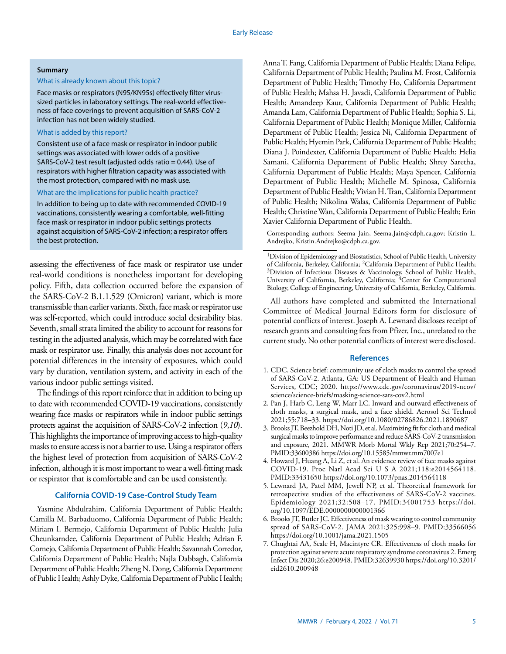## **Summary**

# What is already known about this topic?

Face masks or respirators (N95/KN95s) effectively filter virussized particles in laboratory settings. The real-world effectiveness of face coverings to prevent acquisition of SARS-CoV-2 infection has not been widely studied.

## What is added by this report?

Consistent use of a face mask or respirator in indoor public settings was associated with lower odds of a positive SARS-CoV-2 test result (adjusted odds ratio = 0.44). Use of respirators with higher filtration capacity was associated with the most protection, compared with no mask use.

#### What are the implications for public health practice?

In addition to being up to date with recommended COVID-19 vaccinations, consistently wearing a comfortable, well-fitting face mask or respirator in indoor public settings protects against acquisition of SARS-CoV-2 infection; a respirator offers the best protection.

assessing the effectiveness of face mask or respirator use under real-world conditions is nonetheless important for developing policy. Fifth, data collection occurred before the expansion of the SARS-CoV-2 B.1.1.529 (Omicron) variant, which is more transmissible than earlier variants. Sixth, face mask or respirator use was self-reported, which could introduce social desirability bias. Seventh, small strata limited the ability to account for reasons for testing in the adjusted analysis, which may be correlated with face mask or respirator use. Finally, this analysis does not account for potential differences in the intensity of exposures, which could vary by duration, ventilation system, and activity in each of the various indoor public settings visited.

The findings of this report reinforce that in addition to being up to date with recommended COVID-19 vaccinations, consistently wearing face masks or respirators while in indoor public settings protects against the acquisition of SARS-CoV-2 infection (*9*,*10*). This highlights the importance of improving access to high-quality masks to ensure access is not a barrier to use. Using a respirator offers the highest level of protection from acquisition of SARS-CoV-2 infection, although it is most important to wear a well-fitting mask or respirator that is comfortable and can be used consistently.

## **California COVID-19 Case-Control Study Team**

Yasmine Abdulrahim, California Department of Public Health; Camilla M. Barbaduomo, California Department of Public Health; Miriam I. Bermejo, California Department of Public Health; Julia Cheunkarndee, California Department of Public Health; Adrian F. Cornejo, California Department of Public Health; Savannah Corredor, California Department of Public Health; Najla Dabbagh, California Department of Public Health; Zheng N. Dong, California Department of Public Health; Ashly Dyke, California Department of Public Health; Anna T. Fang, California Department of Public Health; Diana Felipe, California Department of Public Health; Paulina M. Frost, California Department of Public Health; Timothy Ho, California Department of Public Health; Mahsa H. Javadi, California Department of Public Health; Amandeep Kaur, California Department of Public Health; Amanda Lam, California Department of Public Health; Sophia S. Li, California Department of Public Health; Monique Miller, California Department of Public Health; Jessica Ni, California Department of Public Health; Hyemin Park, California Department of Public Health; Diana J. Poindexter, California Department of Public Health; Helia Samani, California Department of Public Health; Shrey Saretha, California Department of Public Health; Maya Spencer, California Department of Public Health; Michelle M. Spinosa, California Department of Public Health; Vivian H. Tran, California Department of Public Health; Nikolina Walas, California Department of Public Health; Christine Wan, California Department of Public Health; Erin Xavier California Department of Public Health.

Corresponding authors: Seema Jain, [Seema.Jain@cdph.ca.gov](mailto:Seema.Jain@cdph.ca.gov); Kristin L. Andrejko, [Kristin.Andrejko@cdph.ca.gov](mailto:Kristin.Andrejko@cdph.ca.gov).

All authors have completed and submitted the International Committee of Medical Journal Editors form for disclosure of potential conflicts of interest. Joseph A. Lewnard discloses receipt of research grants and consulting fees from Pfizer, Inc., unrelated to the current study. No other potential conflicts of interest were disclosed.

## **References**

- 1. CDC. Science brief: community use of cloth masks to control the spread of SARS-CoV-2. Atlanta, GA: US Department of Health and Human Services, CDC; 2020. [https://www.cdc.gov/coronavirus/2019-ncov/](https://www.cdc.gov/coronavirus/2019-ncov/science/science-briefs/masking-science-sars-cov2.html) [science/science-briefs/masking-science-sars-cov2.html](https://www.cdc.gov/coronavirus/2019-ncov/science/science-briefs/masking-science-sars-cov2.html)
- 2. Pan J, Harb C, Leng W, Marr LC. Inward and outward effectiveness of cloth masks, a surgical mask, and a face shield. Aerosol Sci Technol 2021;55:718–33. <https://doi.org/10.1080/02786826.2021.1890687>
- 3. Brooks JT, Beezhold DH, Noti JD, et al. Maximizing fit for cloth and medical surgical masks to improve performance and reduce SARS-CoV-2 transmission and exposure, 2021. MMWR Morb Mortal Wkly Rep 2021;70:254–7. [PMID:33600386](https://www.ncbi.nlm.nih.gov/entrez/query.fcgi?cmd=Retrieve&db=PubMed&list_uids=33600386&dopt=Abstract) <https://doi.org/10.15585/mmwr.mm7007e1>
- 4. Howard J, Huang A, Li Z, et al. An evidence review of face masks against COVID-19. Proc Natl Acad Sci U S A 2021;118:e2014564118. [PMID:33431650](https://www.ncbi.nlm.nih.gov/entrez/query.fcgi?cmd=Retrieve&db=PubMed&list_uids=33431650&dopt=Abstract) <https://doi.org/10.1073/pnas.2014564118>
- 5. Lewnard JA, Patel MM, Jewell NP, et al. Theoretical framework for retrospective studies of the effectiveness of SARS-CoV-2 vaccines. Epidemiology 2021;32:508–17. [PMID:34001753](https://www.ncbi.nlm.nih.gov/entrez/query.fcgi?cmd=Retrieve&db=PubMed&list_uids=34001753&dopt=Abstract) [https://doi.](https://doi.org/10.1097/EDE.0000000000001366) [org/10.1097/EDE.0000000000001366](https://doi.org/10.1097/EDE.0000000000001366)
- 6. Brooks JT, Butler JC. Effectiveness of mask wearing to control community spread of SARS-CoV-2. JAMA 2021;325:998–9[. PMID:33566056](https://www.ncbi.nlm.nih.gov/entrez/query.fcgi?cmd=Retrieve&db=PubMed&list_uids=33566056&dopt=Abstract) <https://doi.org/10.1001/jama.2021.1505>
- 7. Chughtai AA, Seale H, Macintyre CR. Effectiveness of cloth masks for protection against severe acute respiratory syndrome coronavirus 2. Emerg Infect Dis 2020;26:e200948. [PMID:32639930](https://www.ncbi.nlm.nih.gov/entrez/query.fcgi?cmd=Retrieve&db=PubMed&list_uids=32639930&dopt=Abstract) [https://doi.org/10.3201/](https://doi.org/10.3201/eid2610.200948) [eid2610.200948](https://doi.org/10.3201/eid2610.200948)

<sup>1</sup>Division of Epidemiology and Biostatistics, School of Public Health, University of California, Berkeley, California; 2California Department of Public Health; 3Division of Infectious Diseases & Vaccinology, School of Public Health, University of California, Berkeley, California; 4Center for Computational Biology, College of Engineering, University of California, Berkeley, California.